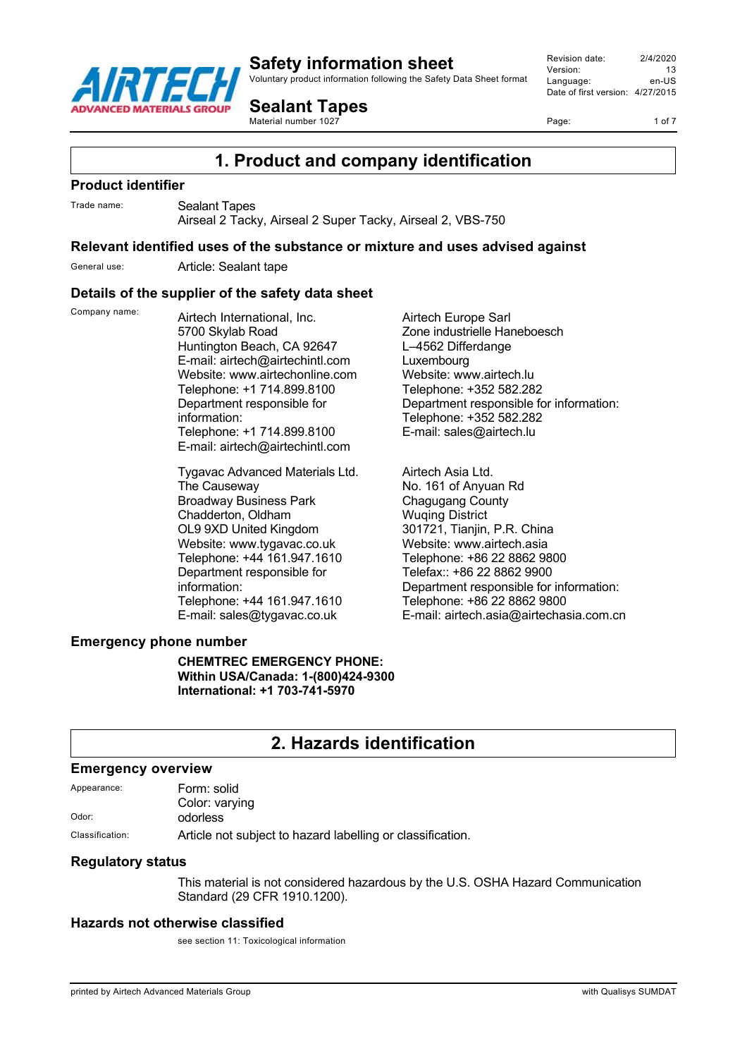

Voluntary product information following the Safety Data Sheet format

**Sealant Tapes**

Material number 1027

Revision date: 2/4/2020 Version: 13<br>Language: 90-LIS Language: Date of first version: 4/27/2015

Page: 1 of 7

**1. Product and company identification**

#### **Product identifier**

Trade name: Sealant Tapes

Airseal 2 Tacky, Airseal 2 Super Tacky, Airseal 2, VBS-750

#### **Relevant identified uses of the substance or mixture and uses advised against**

General use: Article: Sealant tape

#### **Details of the supplier of the safety data sheet**

Company name: Airtech International, Inc. 5700 Skylab Road Huntington Beach, CA 92647 E-mail: airtech@airtechintl.com Website: www.airtechonline.com Telephone: +1 714.899.8100 Department responsible for information: Telephone: +1 714.899.8100 E-mail: airtech@airtechintl.com

> Tygavac Advanced Materials Ltd. The Causeway Broadway Business Park Chadderton, Oldham OL9 9XD United Kingdom Website: www.tygavac.co.uk Telephone: +44 161.947.1610 Department responsible for information: Telephone: +44 161.947.1610 E-mail: sales@tygavac.co.uk

Airtech Europe Sarl Zone industrielle Haneboesch L–4562 Differdange Luxembourg Website: www.airtech.lu Telephone: +352 582.282 Department responsible for information: Telephone: +352 582.282 E-mail: sales@airtech.lu

Airtech Asia Ltd. No. 161 of Anyuan Rd Chagugang County Wuqing District 301721, Tianjin, P.R. China Website: www.airtech.asia Telephone: +86 22 8862 9800 Telefax:: +86 22 8862 9900 Department responsible for information: Telephone: +86 22 8862 9800 E-mail: airtech.asia@airtechasia.com.cn

#### **Emergency phone number**

**CHEMTREC EMERGENCY PHONE: Within USA/Canada: 1-(800)424-9300 International: +1 703-741-5970**

# **2. Hazards identification**

#### **Emergency overview**

| Appearance: | Form: solid    |
|-------------|----------------|
|             | Color: varying |
| Odor:       | odorless       |
| $\sim$      | .              |

Classification: Article not subject to hazard labelling or classification.

#### **Regulatory status**

This material is not considered hazardous by the U.S. OSHA Hazard Communication Standard (29 CFR 1910.1200).

### **Hazards not otherwise classified**

see section 11: Toxicological information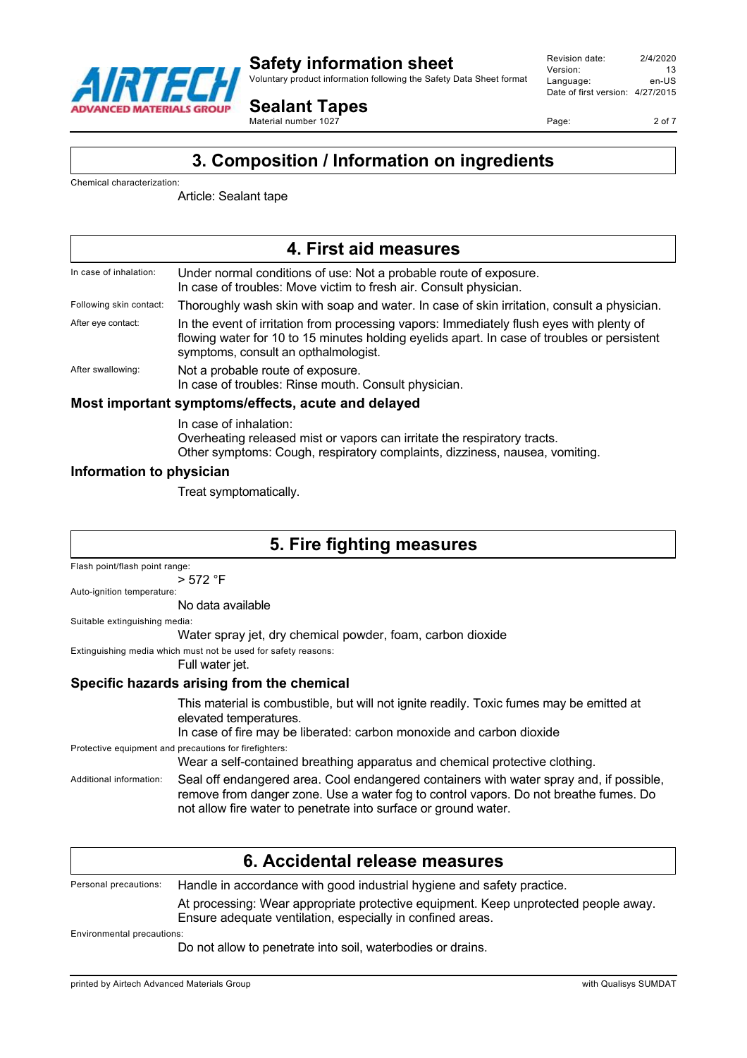

Voluntary product information following the Safety Data Sheet format

Revision date: 2/4/2020 Version: 13<br>
Language: en-US Language: Date of first version: 4/27/2015

**Sealant Tapes** Material number 1027

Page: 2 of 7

# **3. Composition / Information on ingredients**

Chemical characterization:

Article: Sealant tape

| 4. First aid measures   |                                                                                                                                                                                                                                 |
|-------------------------|---------------------------------------------------------------------------------------------------------------------------------------------------------------------------------------------------------------------------------|
| In case of inhalation:  | Under normal conditions of use: Not a probable route of exposure.<br>In case of troubles: Move victim to fresh air. Consult physician.                                                                                          |
| Following skin contact: | Thoroughly wash skin with soap and water. In case of skin irritation, consult a physician.                                                                                                                                      |
| After eye contact:      | In the event of irritation from processing vapors: Immediately flush eyes with plenty of<br>flowing water for 10 to 15 minutes holding eyelids apart. In case of troubles or persistent<br>symptoms, consult an opthalmologist. |
| After swallowing:       | Not a probable route of exposure.<br>In case of troubles: Rinse mouth. Consult physician.                                                                                                                                       |

#### **Most important symptoms/effects, acute and delayed**

In case of inhalation: Overheating released mist or vapors can irritate the respiratory tracts. Other symptoms: Cough, respiratory complaints, dizziness, nausea, vomiting.

#### **Information to physician**

Treat symptomatically.

| 5. Fire fighting measures                                                   |                                                                                                                                                                                                                                                    |
|-----------------------------------------------------------------------------|----------------------------------------------------------------------------------------------------------------------------------------------------------------------------------------------------------------------------------------------------|
| Flash point/flash point range:                                              |                                                                                                                                                                                                                                                    |
|                                                                             | > 572 °F                                                                                                                                                                                                                                           |
| Auto-ignition temperature:                                                  |                                                                                                                                                                                                                                                    |
|                                                                             | No data available                                                                                                                                                                                                                                  |
| Suitable extinguishing media:                                               |                                                                                                                                                                                                                                                    |
|                                                                             | Water spray jet, dry chemical powder, foam, carbon dioxide                                                                                                                                                                                         |
| Extinguishing media which must not be used for safety reasons:              |                                                                                                                                                                                                                                                    |
|                                                                             | Full water jet.                                                                                                                                                                                                                                    |
| Specific hazards arising from the chemical                                  |                                                                                                                                                                                                                                                    |
|                                                                             | This material is combustible, but will not ignite readily. Toxic fumes may be emitted at<br>elevated temperatures.                                                                                                                                 |
|                                                                             | In case of fire may be liberated: carbon monoxide and carbon dioxide                                                                                                                                                                               |
|                                                                             | Protective equipment and precautions for firefighters:                                                                                                                                                                                             |
| Wear a self-contained breathing apparatus and chemical protective clothing. |                                                                                                                                                                                                                                                    |
| Additional information:                                                     | Seal off endangered area. Cool endangered containers with water spray and, if possible,<br>remove from danger zone. Use a water fog to control vapors. Do not breathe fumes. Do<br>not allow fire water to penetrate into surface or ground water. |
|                                                                             |                                                                                                                                                                                                                                                    |

|                            | 6. Accidental release measures                                                                                                                    |
|----------------------------|---------------------------------------------------------------------------------------------------------------------------------------------------|
| Personal precautions:      | Handle in accordance with good industrial hygiene and safety practice.                                                                            |
|                            | At processing: Wear appropriate protective equipment. Keep unprotected people away.<br>Ensure adequate ventilation, especially in confined areas. |
| Environmental precautions: |                                                                                                                                                   |
|                            | Do not allow to penetrate into soil, waterbodies or drains.                                                                                       |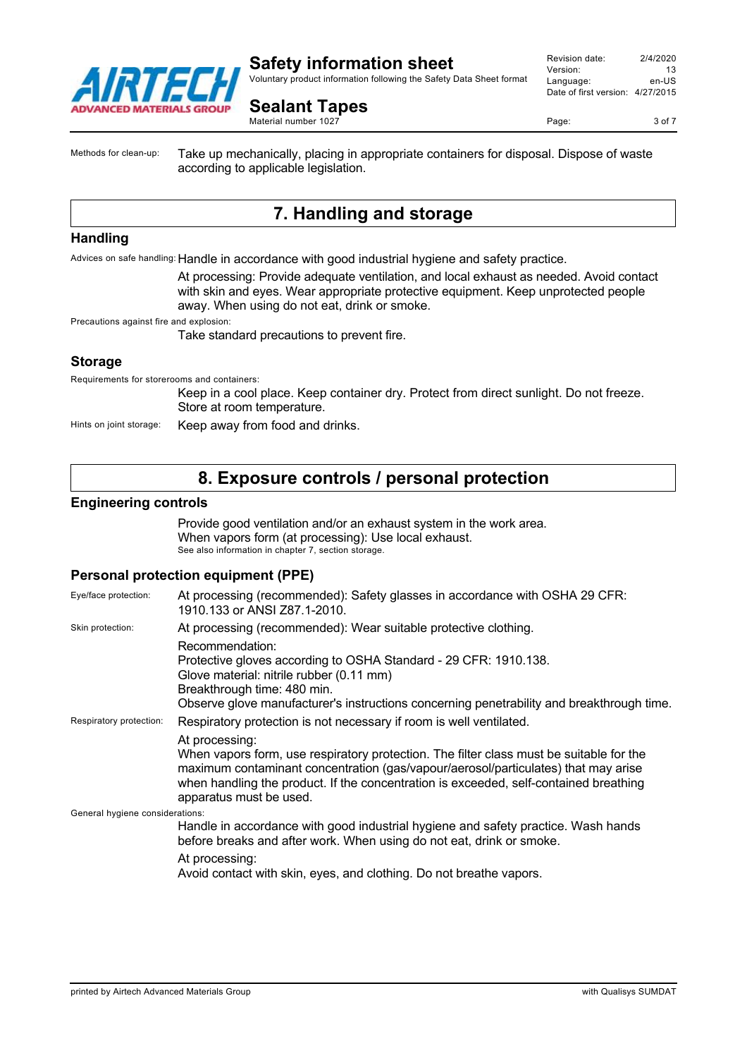

Voluntary product information following the Safety Data Sheet format

Revision date: 2/4/2020 Version: 13<br>Language: en-LIS Language: Date of first version: 4/27/2015

**Sealant Tapes** Material number 1027

Page: 3 of 7

Methods for clean-up: Take up mechanically, placing in appropriate containers for disposal. Dispose of waste according to applicable legislation.

# **7. Handling and storage**

#### **Handling**

Advices on safe handling: Handle in accordance with good industrial hygiene and safety practice.

At processing: Provide adequate ventilation, and local exhaust as needed. Avoid contact with skin and eyes. Wear appropriate protective equipment. Keep unprotected people away. When using do not eat, drink or smoke.

Precautions against fire and explosion:

Take standard precautions to prevent fire.

#### **Storage**

Requirements for storerooms and containers:

Keep in a cool place. Keep container dry. Protect from direct sunlight. Do not freeze. Store at room temperature.

Hints on joint storage: Keep away from food and drinks.

## **8. Exposure controls / personal protection**

#### **Engineering controls**

Provide good ventilation and/or an exhaust system in the work area. When vapors form (at processing): Use local exhaust. See also information in chapter 7, section storage.

#### **Personal protection equipment (PPE)**

| Eye/face protection:            | At processing (recommended): Safety glasses in accordance with OSHA 29 CFR:<br>1910.133 or ANSI Z87.1-2010.                                                                                                                                                                                                         |
|---------------------------------|---------------------------------------------------------------------------------------------------------------------------------------------------------------------------------------------------------------------------------------------------------------------------------------------------------------------|
| Skin protection:                | At processing (recommended): Wear suitable protective clothing.                                                                                                                                                                                                                                                     |
|                                 | Recommendation:<br>Protective gloves according to OSHA Standard - 29 CFR: 1910.138.<br>Glove material: nitrile rubber (0.11 mm)<br>Breakthrough time: 480 min.<br>Observe glove manufacturer's instructions concerning penetrability and breakthrough time.                                                         |
| Respiratory protection:         | Respiratory protection is not necessary if room is well ventilated.                                                                                                                                                                                                                                                 |
|                                 | At processing:<br>When vapors form, use respiratory protection. The filter class must be suitable for the<br>maximum contaminant concentration (gas/vapour/aerosol/particulates) that may arise<br>when handling the product. If the concentration is exceeded, self-contained breathing<br>apparatus must be used. |
| General hygiene considerations: |                                                                                                                                                                                                                                                                                                                     |
|                                 | Handle in accordance with good industrial hygiene and safety practice. Wash hands<br>before breaks and after work. When using do not eat, drink or smoke.                                                                                                                                                           |
|                                 | At processing:<br>Avoid contact with skin, eyes, and clothing. Do not breathe vapors.                                                                                                                                                                                                                               |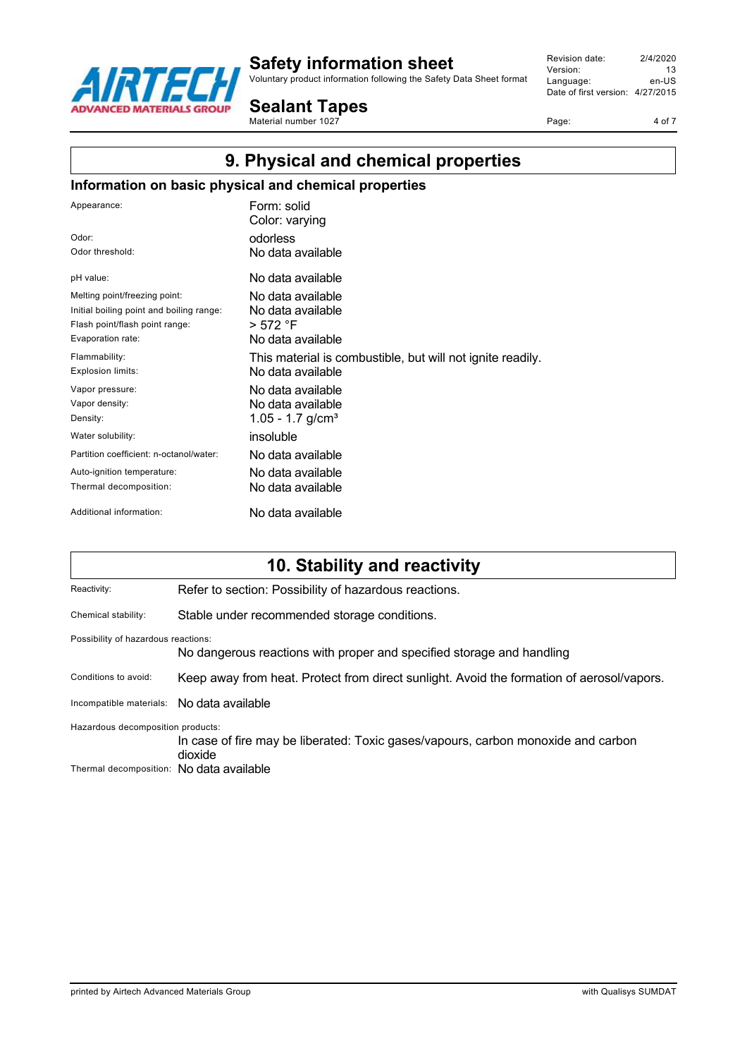

Voluntary product information following the Safety Data Sheet format

**Sealant Tapes**

Material number 1027

Revision date: 2/4/2020 Version: 13<br>
Language: en-US Language: Date of first version: 4/27/2015

Page: 4 of 7

# **9. Physical and chemical properties**

### **Information on basic physical and chemical properties**

| Appearance:                              | Form: solid<br>Color: varying                              |
|------------------------------------------|------------------------------------------------------------|
| Odor:                                    | odorless                                                   |
| Odor threshold:                          | No data available                                          |
| pH value:                                | No data available                                          |
| Melting point/freezing point:            | No data available                                          |
| Initial boiling point and boiling range: | No data available                                          |
| Flash point/flash point range:           | > 572 °F                                                   |
| Evaporation rate:                        | No data available                                          |
| Flammability:                            | This material is combustible, but will not ignite readily. |
| <b>Explosion limits:</b>                 | No data available                                          |
| Vapor pressure:                          | No data available                                          |
| Vapor density:                           | No data available                                          |
| Density:                                 | 1.05 - 1.7 $g/cm3$                                         |
| Water solubility:                        | insoluble                                                  |
| Partition coefficient: n-octanol/water:  | No data available                                          |
| Auto-ignition temperature:               | No data available                                          |
| Thermal decomposition:                   | No data available                                          |
| Additional information:                  | No data available                                          |

# **10. Stability and reactivity**

| Reactivity:                              | Refer to section: Possibility of hazardous reactions.                                        |
|------------------------------------------|----------------------------------------------------------------------------------------------|
| Chemical stability:                      | Stable under recommended storage conditions.                                                 |
| Possibility of hazardous reactions:      | No dangerous reactions with proper and specified storage and handling                        |
| Conditions to avoid:                     | Keep away from heat. Protect from direct sunlight. Avoid the formation of aerosol/vapors.    |
| Incompatible materials:                  | No data available                                                                            |
| Hazardous decomposition products:        | In case of fire may be liberated: Toxic gases/vapours, carbon monoxide and carbon<br>dioxide |
| Thermal decomposition: No data available |                                                                                              |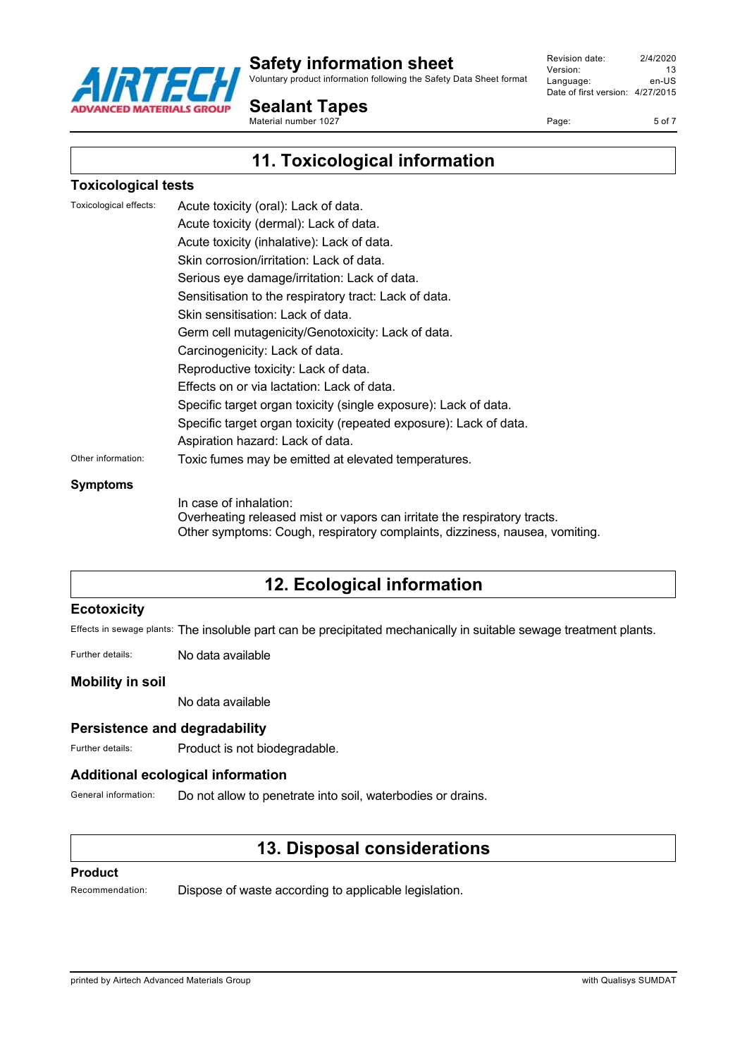

Voluntary product information following the Safety Data Sheet format

Revision date: 2/4/2020 Version: 13<br>
Language: en-LIS Language: Date of first version: 4/27/2015

Page: 5 of 7

**Sealant Tapes** Material number 1027

# **11. Toxicological information**

#### **Toxicological tests**

| Toxicological effects: | Acute toxicity (oral): Lack of data.                              |
|------------------------|-------------------------------------------------------------------|
|                        | Acute toxicity (dermal): Lack of data.                            |
|                        | Acute toxicity (inhalative): Lack of data.                        |
|                        | Skin corrosion/irritation: Lack of data.                          |
|                        | Serious eye damage/irritation: Lack of data.                      |
|                        | Sensitisation to the respiratory tract: Lack of data.             |
|                        | Skin sensitisation: Lack of data.                                 |
|                        | Germ cell mutagenicity/Genotoxicity: Lack of data.                |
|                        | Carcinogenicity: Lack of data.                                    |
|                        | Reproductive toxicity: Lack of data.                              |
|                        | Effects on or via lactation: Lack of data.                        |
|                        | Specific target organ toxicity (single exposure): Lack of data.   |
|                        | Specific target organ toxicity (repeated exposure): Lack of data. |
|                        | Aspiration hazard: Lack of data.                                  |
| Other information:     | Toxic fumes may be emitted at elevated temperatures.              |

#### **Symptoms**

In case of inhalation: Overheating released mist or vapors can irritate the respiratory tracts. Other symptoms: Cough, respiratory complaints, dizziness, nausea, vomiting.

# **12. Ecological information**

#### **Ecotoxicity**

Effects in sewage plants: The insoluble part can be precipitated mechanically in suitable sewage treatment plants.

Further details: No data available

#### **Mobility in soil**

No data available

#### **Persistence and degradability**

Further details: Product is not biodegradable.

#### **Additional ecological information**

General information: Do not allow to penetrate into soil, waterbodies or drains.

# **13. Disposal considerations**

#### **Product**

Recommendation: Dispose of waste according to applicable legislation.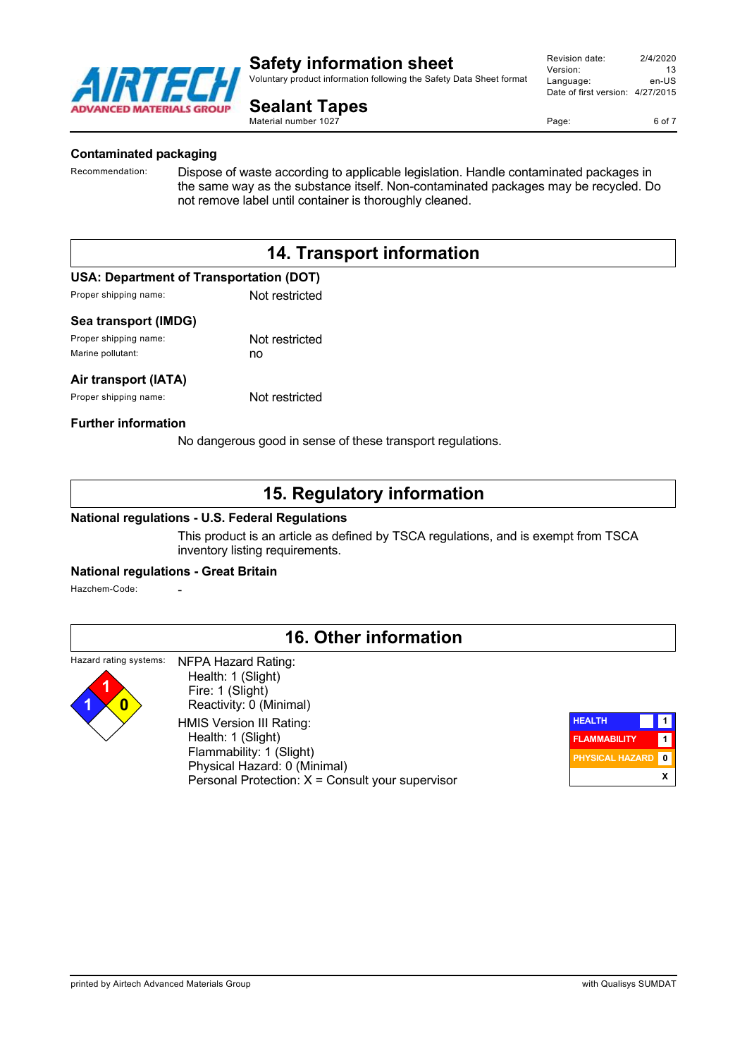

Voluntary product information following the Safety Data Sheet format

**Sealant Tapes** Material number 1027

Revision date: 2/4/2020 Version: 13<br>
Language: en-LIS Language: Date of first version: 4/27/2015

Page: 6 of 7

#### **Contaminated packaging**

Recommendation: Dispose of waste according to applicable legislation. Handle contaminated packages in the same way as the substance itself. Non-contaminated packages may be recycled. Do not remove label until container is thoroughly cleaned.

# **14. Transport information**

#### **USA: Department of Transportation (DOT)**

Proper shipping name: Not restricted

#### **Sea transport (IMDG)**

| Proper shipping name: | Not restricted |
|-----------------------|----------------|
| Marine pollutant:     | no             |

#### **Air transport (IATA)**

Proper shipping name: Not restricted

#### **Further information**

No dangerous good in sense of these transport regulations.

# **15. Regulatory information**

#### **National regulations - U.S. Federal Regulations**

This product is an article as defined by TSCA regulations, and is exempt from TSCA inventory listing requirements.

#### **National regulations - Great Britain**

Hazchem-Code:

# **16. Other information**

#### Hazard rating systems: NFPA Hazard Rating:



 Health: 1 (Slight) Fire: 1 (Slight) Reactivity: 0 (Minimal) HMIS Version III Rating: Health: 1 (Slight) Flammability: 1 (Slight) Physical Hazard: 0 (Minimal) Personal Protection: X = Consult your supervisor

| <b>HEALTH</b>          |   |
|------------------------|---|
| <b>FLAMMABILITY</b>    |   |
| <b>PHYSICAL HAZARD</b> | ŋ |
|                        | x |